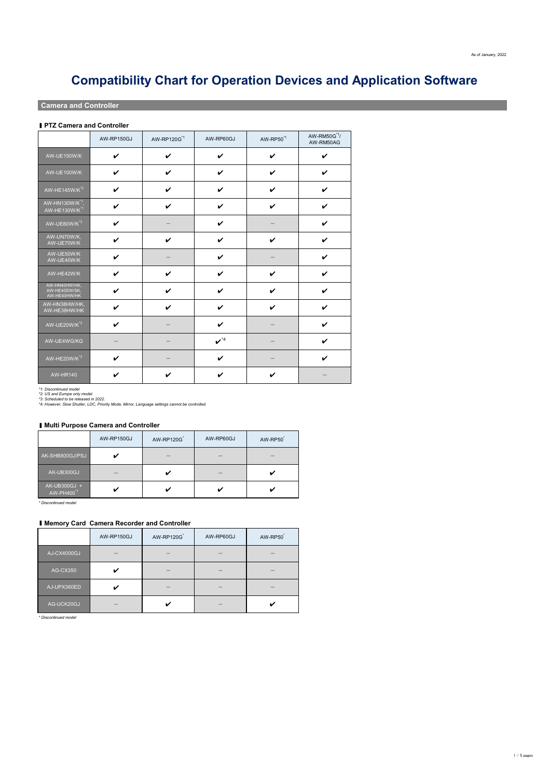|                                                          | AW-RP150GJ                 | AW-RP120G <sup>*1</sup>    | AW-RP60GJ                   | AW-RP50 <sup>*1</sup>      | AW-RM50G <sup>*1</sup> /<br>AW-RM50AG |
|----------------------------------------------------------|----------------------------|----------------------------|-----------------------------|----------------------------|---------------------------------------|
| AW-UE150W/K                                              | $\checkmark$               | $\checkmark$               | $\boldsymbol{\mathcal{U}}$  | $\boldsymbol{\mathcal{U}}$ | $\boldsymbol{\mathcal{U}}$            |
| <b>AW-UE100W/K</b>                                       | $\checkmark$               | $\boldsymbol{\mathcal{U}}$ | $\checkmark$                | $\boldsymbol{\mathcal{U}}$ | $\boldsymbol{\mathcal{U}}$            |
| AW-HE145W/K <sup>*2</sup>                                | $\checkmark$               | $\boldsymbol{\mathcal{U}}$ | $\boldsymbol{\mathscr{C}}$  | $\boldsymbol{\nu}$         | $\boldsymbol{\mathcal{U}}$            |
| AW-HN130W/K <sup>*1</sup> ,<br>AW-HE130W/K <sup>*1</sup> | $\boldsymbol{\mathcal{U}}$ | $\boldsymbol{\mathcal{U}}$ | $\boldsymbol{\mathcal{U}}$  | $\boldsymbol{\mathscr{C}}$ | $\boldsymbol{\mathcal{U}}$            |
| AW-UE80W/K <sup>*3</sup>                                 | $\checkmark$               |                            | $\boldsymbol{\mathcal{U}}$  |                            | $\boldsymbol{\mathcal{U}}$            |
| AW-UN70W/K,<br>AW-UE70W/K                                | $\boldsymbol{\mathcal{U}}$ | $\boldsymbol{\nu}$         | $\boldsymbol{\nu}$          | $\boldsymbol{\mathcal{U}}$ | $\checkmark$                          |
| AW-UE50W/K<br>AW-UE40W/K                                 | $\boldsymbol{\nu}$         |                            | $\boldsymbol{\mathcal{U}}$  |                            | $\boldsymbol{\mathcal{U}}$            |
| AW-HE42W/K                                               | $\boldsymbol{\nu}$         | $\boldsymbol{\mathcal{U}}$ | $\boldsymbol{\mathscr{C}}$  | $\boldsymbol{\nu}$         | $\boldsymbol{\mathcal{U}}$            |
| AW-HN40HW/HK,<br>AW-HE40SW/SK,<br>AW-HE40HW/HK           | $\boldsymbol{\ell}$        | $\boldsymbol{\ell}$        | $\boldsymbol{\ell}$         | $\boldsymbol{\ell}$        | $\boldsymbol{\ell}$                   |
| AW-HN38HW/HK,<br>AW-HE38HW/HK                            | $\checkmark$               | $\boldsymbol{\mathcal{U}}$ | $\boldsymbol{\mathcal{U}}$  | $\boldsymbol{\mathcal{U}}$ | $\boldsymbol{\mathcal{U}}$            |
| AW-UE20W/K <sup>*3</sup>                                 | $\checkmark$               |                            | $\boldsymbol{\nu}$          |                            | $\boldsymbol{\mathcal{U}}$            |
| AW-UE4WG/KG                                              |                            |                            | $\boldsymbol{\nu}^{\ast 4}$ |                            | $\boldsymbol{\mathcal{U}}$            |
| AW-HE20W/K <sup>*3</sup>                                 | $\boldsymbol{\nu}$         |                            | $\boldsymbol{\mathcal{U}}$  |                            | $\boldsymbol{\mathcal{U}}$            |
| <b>AW-HR140</b>                                          | $\boldsymbol{\mathcal{U}}$ | $\boldsymbol{\mathscr{C}}$ | $\boldsymbol{\mathcal{U}}$  | $\boldsymbol{\mathscr{U}}$ |                                       |

#### ▮ **Multi Purpose Camera and Controller**

|                                        | AW-RP150GJ | AW-RP120G | AW-RP60GJ | AW-RP50 |
|----------------------------------------|------------|-----------|-----------|---------|
| AK-SHB800GJ/PSJ                        |            |           |           |         |
| AK-UB300GJ                             |            |           |           |         |
| AK-UB300GJ +<br>AW-PH400 <sup>*1</sup> |            |           |           |         |

|                 | AW-RP150GJ | <b>AW-RP120G</b> | AW-RP60GJ | AW-RP50 |
|-----------------|------------|------------------|-----------|---------|
| AJ-CX4000GJ     |            |                  |           |         |
| <b>AG-CX350</b> |            |                  |           |         |
| AJ-UPX360ED     |            |                  |           |         |
| AG-UCK20GJ      |            |                  |           |         |

*\* Discontinued model*

 $1\,/\,5$  pages

# **Compatibility Chart for Operation Devices and Application Software**

## **Camera and Controller**

#### ■ **PTZ Camera and Controller**

*\*1: Discontinued model*

*\*2: US and Europe only model.*

*\*3: Scheduled to be released in 2022.*

*\*4: However, Slow Shutter, LDC, Priority Mode, Mirror, Language settings cannot be controlled.*

*\* Discontinued model*

#### ▮ **Memory Card Camera Recorder and Controller**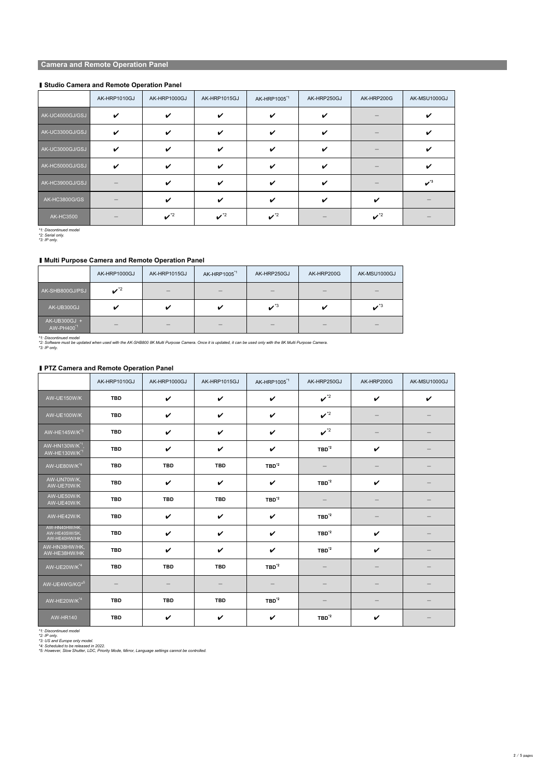|                      | AK-HRP1010GJ               | AK-HRP1000GJ                | AK-HRP1015GJ                | AK-HRP1005 <sup>*1</sup>    | AK-HRP250GJ                | AK-HRP200G                  | AK-MSU1000GJ                |
|----------------------|----------------------------|-----------------------------|-----------------------------|-----------------------------|----------------------------|-----------------------------|-----------------------------|
| AK-UC4000GJ/GSJ      | $\boldsymbol{\mathcal{U}}$ | $\boldsymbol{\mathscr{C}}$  | $\boldsymbol{\mathcal{U}}$  |                             | $\boldsymbol{\mathcal{U}}$ |                             |                             |
| AK-UC3300GJ/GSJ      |                            | $\boldsymbol{\mathscr{C}}$  | $\boldsymbol{\nu}$          |                             | $\boldsymbol{\nu}$         |                             |                             |
| AK-UC3000GJ/GSJ      | $\boldsymbol{\mathscr{C}}$ | $\boldsymbol{\nu}$          | $\boldsymbol{\mathscr{L}}$  |                             | $\boldsymbol{\nu}$         |                             |                             |
| AK-HC5000GJ/GSJ      |                            | $\boldsymbol{\mathscr{C}}$  | $\boldsymbol{\mathscr{C}}$  |                             | $\boldsymbol{\mathcal{U}}$ |                             |                             |
| AK-HC3900GJ/GSJ      |                            | $\boldsymbol{\mathscr{U}}$  | $\boldsymbol{\nu}$          |                             | $\boldsymbol{\nu}$         |                             | $\boldsymbol{\nu}^{\ast 3}$ |
| <b>AK-HC3800G/GS</b> |                            | $\boldsymbol{\nu}$          | $\boldsymbol{\nu}$          |                             | $\boldsymbol{\nu}$         | $\boldsymbol{\nu}$          |                             |
| <b>AK-HC3500</b>     |                            | $\boldsymbol{\nu}^{\ast 2}$ | $\boldsymbol{\nu}^{\ast 2}$ | $\boldsymbol{\nu}^{\ast 2}$ |                            | $\boldsymbol{\nu}^{\ast 2}$ |                             |

*\*1: Discontinued model*

*\*2: Serial only.*

*\*3: IP only.*

|                 | AK-HRP1000GJ                | AK-HRP1015GJ | AK-HRP1005 <sup>*1</sup> | AK-HRP250GJ                 | AK-HRP200G | AK-MSU1000GJ                    |
|-----------------|-----------------------------|--------------|--------------------------|-----------------------------|------------|---------------------------------|
| AK-SHB800GJ/PSJ | $\boldsymbol{\nu}^{\ast 2}$ |              |                          |                             |            |                                 |
| AK-UB300GJ      |                             | $\mathbf v$  |                          | $\boldsymbol{\nu}^{\ast}$ 3 |            | $\boldsymbol{\mathscr{A}}^{*3}$ |
| AK-UB300GJ +    |                             |              |                          |                             |            |                                 |

| AW-PH400 |  |  | $\sim$ | <b>STATE OF STATE OF STATE OF STATE OF STATE OF STATE OF STATE OF STATE OF STATE OF STATE OF STATE OF STATE OF S</b> |
|----------|--|--|--------|----------------------------------------------------------------------------------------------------------------------|
|          |  |  |        |                                                                                                                      |

#### ▮ **PTZ Camera and Remote Operation Panel**

|                                                                               | AK-HRP1010GJ | AK-HRP1000GJ               | AK-HRP1015GJ | AK-HRP1005 <sup>*1</sup>   | AK-HRP250GJ                     | AK-HRP200G                      | AK-MSU1000GJ             |
|-------------------------------------------------------------------------------|--------------|----------------------------|--------------|----------------------------|---------------------------------|---------------------------------|--------------------------|
| AW-UE150W/K                                                                   | <b>TBD</b>   | $\checkmark$               | $\checkmark$ | $\checkmark$               | $\boldsymbol{\nu}^{\ast 2}$     | $\checkmark$                    | $\checkmark$             |
| AW-UE100W/K                                                                   | <b>TBD</b>   | $\boldsymbol{\mathcal{U}}$ | $\checkmark$ | $\checkmark$               | $\boldsymbol{\nu}^{\ast 2}$     |                                 |                          |
| AW-HE145W/K <sup>*3</sup>                                                     | <b>TBD</b>   | $\boldsymbol{\mathcal{U}}$ | $\checkmark$ | $\checkmark$               | $\boldsymbol{\nu}^{\ast 2}$     |                                 |                          |
| $\overline{\mathsf{AW-HN130W/K}^{\star}{}^{1}},$<br>AW-HE130W/K <sup>*1</sup> | <b>TBD</b>   | $\boldsymbol{\mathcal{U}}$ | $\checkmark$ | $\boldsymbol{\mathcal{U}}$ | $TBD^{\dot{z}2}$                | $\checkmark$                    |                          |
| AW-UE80W/K <sup>*4</sup>                                                      | <b>TBD</b>   | <b>TBD</b>                 | <b>TBD</b>   | $TBD^{\dot{z}2}$           |                                 |                                 |                          |
| AW-UN70W/K,<br>AW-UE70W/K                                                     | <b>TBD</b>   | $\boldsymbol{\mathcal{U}}$ | $\checkmark$ | $\checkmark$               | $TBD^{\dot{z}2}$                | $\checkmark$                    |                          |
| AW-UE50W/K<br>AW-UE40W/K                                                      | <b>TBD</b>   | <b>TBD</b>                 | <b>TBD</b>   | $TBD^{\dot{z}2}$           |                                 |                                 |                          |
| AW-HE42W/K                                                                    | <b>TBD</b>   | $\boldsymbol{\mathcal{U}}$ | $\checkmark$ | $\checkmark$               | $TBD^{\dot{z}2}$                |                                 |                          |
| AW-HN40HW/HK,<br>AW-HE40SW/SK,<br>AW-HE40HW/HK                                | <b>TBD</b>   | $\boldsymbol{\mathcal{U}}$ | $\checkmark$ | $\checkmark$               | $TBD^{\dot{z}2}$                | $\boldsymbol{\mathcal{U}}$      |                          |
| AW-HN38HW/HK,<br>AW-HE38HW/HK                                                 | <b>TBD</b>   | $\checkmark$               | $\checkmark$ | $\boldsymbol{\mathcal{U}}$ | $TBD^{\dot{z}2}$                | $\checkmark$                    |                          |
| AW-UE20W/K <sup>*4</sup>                                                      | <b>TBD</b>   | <b>TBD</b>                 | <b>TBD</b>   | $TBD^{\dot{z}2}$           |                                 |                                 |                          |
| AW-UE4WG/KG*5                                                                 |              |                            |              |                            |                                 |                                 |                          |
| AW-HE20W/K <sup>*4</sup>                                                      | <b>TBD</b>   | <b>TBD</b>                 | <b>TBD</b>   | $TBD^2$                    | $\hspace{0.1mm}-\hspace{0.1mm}$ | $\hspace{0.1mm}-\hspace{0.1mm}$ |                          |
| <b>AW-HR140</b>                                                               | <b>TBD</b>   | $\boldsymbol{\mathcal{U}}$ | $\checkmark$ | $\checkmark$               | $TBD^{\dot{z}2}$                | $\checkmark$                    | $\overline{\phantom{m}}$ |

# **Camera and Remote Operation Panel**

## ▮ **Studio Camera and Remote Operation Panel**

## ▮ **Multi Purpose Camera and Remote Operation Panel**

*\*1: Discontinued model*

*\*2: Software must be updated when used with the AK-SHB800 8K Multi Purpose Camera. Once it is updated, it can be used only with the 8K Multi Purpose Camera.*

*\*3: IP only.*

*\*1: Discontinued model*

*\*2: IP only.*

*\*3: US and Europe only model.*

*\*4: Scheduled to be released in 2022.*

*\*5: However, Slow Shutter, LDC, Priority Mode, Mirror, Language settings cannot be controlled.*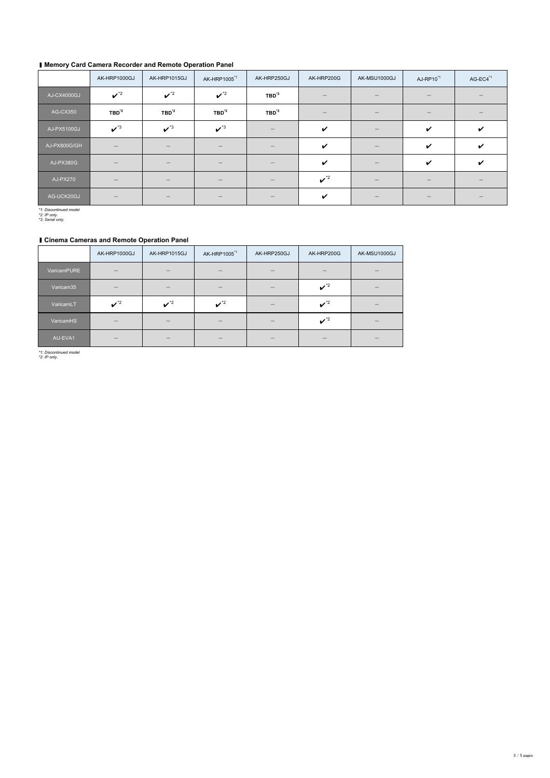# ▮ **Memory Card Camera Recorder and Remote Operation Panel**

|                 | AK-HRP1000GJ                    | AK-HRP1015GJ                | AK-HRP1005 <sup>*1</sup>        | AK-HRP250GJ              | AK-HRP200G                  | AK-MSU1000GJ             | AJ-RP10 <sup>*1</sup>      | AG-EC4 <sup>*1</sup>       |
|-----------------|---------------------------------|-----------------------------|---------------------------------|--------------------------|-----------------------------|--------------------------|----------------------------|----------------------------|
| AJ-CX4000GJ     | $\boldsymbol{\nu}^{\ast 2}$     | $\boldsymbol{\nu}^{\ast 2}$ | $\boldsymbol{\nu}^{\ast 2}$     | $TBD^{\dot{z}2}$         |                             |                          |                            |                            |
| <b>AG-CX350</b> | $TBD^2$                         | $TBD^{\dot{z}2}$            | $TBD^{\dot{z}2}$                | $TBD^{\dot{z}2}$         |                             |                          |                            |                            |
| AJ-PX5100GJ     | $\boldsymbol{\nu}^{\ast 3}$     | $\boldsymbol{\nu}^{\ast 3}$ | $\boldsymbol{\nu}^{\ast 3}$     |                          | $\boldsymbol{\mathcal{U}}$  |                          | $\boldsymbol{\mathcal{U}}$ | $\boldsymbol{\mathcal{U}}$ |
| AJ-PX800G/GH    | $\overline{\phantom{a}}$        |                             | $\hspace{0.1mm}-\hspace{0.1mm}$ | $\overline{\phantom{a}}$ | $\boldsymbol{\mathcal{U}}$  | $\overline{\phantom{m}}$ | $\boldsymbol{\mathcal{U}}$ | $\boldsymbol{\mathcal{U}}$ |
| AJ-PX380G       | $\hspace{0.1mm}-\hspace{0.1mm}$ |                             |                                 |                          | $\boldsymbol{\mathcal{U}}$  |                          | $\boldsymbol{\mathcal{U}}$ | $\boldsymbol{\mathcal{U}}$ |
| <b>AJ-PX270</b> | $\hspace{0.1mm}-\hspace{0.1mm}$ |                             |                                 |                          | $\boldsymbol{\nu}^{\ast 2}$ |                          |                            |                            |
| AG-UCK20GJ      | $\overline{\phantom{m}}$        |                             |                                 |                          | $\boldsymbol{\mathcal{U}}$  |                          |                            |                            |

*\*1: Discontinued model*

*\*2: IP only.*

*\*3: Serial only.*

## ▮ **Cinema Cameras and Remote Operation Panel**

|             | AK-HRP1000GJ                | AK-HRP1015GJ                | AK-HRP1005 <sup>*1</sup>    | AK-HRP250GJ | AK-HRP200G                  | AK-MSU1000GJ |
|-------------|-----------------------------|-----------------------------|-----------------------------|-------------|-----------------------------|--------------|
| VaricamPURE |                             |                             |                             |             |                             |              |
| Varicam35   |                             |                             |                             |             | $\boldsymbol{\nu}^{\ast 2}$ |              |
| VaricamLT   | $\boldsymbol{\nu}^{\ast 2}$ | $\boldsymbol{\nu}^{\ast 2}$ | $\boldsymbol{\nu}^{\ast 2}$ |             | $\boldsymbol{\nu}^{\ast 2}$ |              |
| VaricamHS   |                             |                             |                             |             | $\boldsymbol{\nu}^{\ast 2}$ |              |
| AU-EVA1     |                             |                             |                             |             |                             |              |

*\*1: Discontinued model*

*\*2: IP only.*

 $3/5$  pages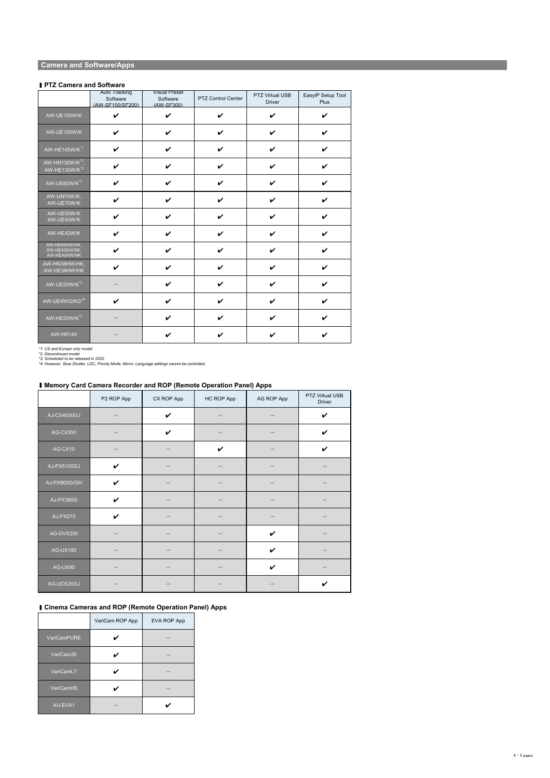|                                                | <b>Auto Tracking</b><br>Software<br>(AW-SF100/SF200) | <b>Visual Preset</b><br>Software<br>(AW-SF300) | <b>PTZ Control Center</b>  | <b>PTZ Virtual USB</b><br><b>Driver</b> | EasylP Setup Tool<br><b>Plus</b> |
|------------------------------------------------|------------------------------------------------------|------------------------------------------------|----------------------------|-----------------------------------------|----------------------------------|
| AW-UE150W/K                                    | $\checkmark$                                         | $\boldsymbol{\mathcal{U}}$                     | $\boldsymbol{\mathcal{U}}$ | $\boldsymbol{\mathcal{U}}$              | $\boldsymbol{\mathcal{U}}$       |
| AW-UE100W/K                                    | $\checkmark$                                         | $\checkmark$                                   | $\boldsymbol{\mathcal{U}}$ | $\boldsymbol{\mathcal{U}}$              | $\boldsymbol{\mathcal{U}}$       |
| $\overline{A}$ W-HE145W/K <sup>*1</sup>        | $\checkmark$                                         | $\boldsymbol{\mathscr{C}}$                     | $\boldsymbol{\mathcal{U}}$ | $\boldsymbol{\mathcal{U}}$              |                                  |
| $AWHN130W/K^{2}$<br>AW-HE130W/K <sup>*2</sup>  | $\checkmark$                                         | $\boldsymbol{\mathscr{C}}$                     | $\boldsymbol{\mathcal{U}}$ | $\boldsymbol{\mathcal{U}}$              | $\boldsymbol{\nu}$               |
| AW-UE80W/K <sup>*3</sup>                       | $\checkmark$                                         | $\boldsymbol{\mathcal{U}}$                     | $\boldsymbol{\mathcal{U}}$ | $\boldsymbol{\mathscr{C}}$              | V                                |
| AW-UN70W/K,<br>AW-UE70W/K                      | $\checkmark$                                         | $\boldsymbol{\mathcal{U}}$                     | $\boldsymbol{\nu}$         | $\boldsymbol{\mathscr{C}}$              | $\boldsymbol{\mathcal{U}}$       |
| AW-UE50W/K<br>AW-UE40W/K                       | $\boldsymbol{\mathcal{U}}$                           | $\boldsymbol{\nu}$                             | $\boldsymbol{\mathscr{C}}$ | $\boldsymbol{\mathscr{C}}$              | $\boldsymbol{\mathscr{C}}$       |
| AW-HE42W/K                                     | $\boldsymbol{\mathcal{U}}$                           | $\boldsymbol{\mathscr{C}}$                     | $\boldsymbol{\mathcal{U}}$ | $\boldsymbol{\nu}$                      | $\boldsymbol{\mathscr{L}}$       |
| AW-HN40HW/HK,<br>AW-HE40SW/SK,<br>AW-HE40HW/HK | $\boldsymbol{\ell}$                                  | $\boldsymbol{\ell}$                            | $\boldsymbol{\ell}$        | $\boldsymbol{\ell}$                     | $\boldsymbol{\ell}$              |
| AW-HN38HW/HK,<br>AW-HE38HW/HK                  | $\boldsymbol{\mathcal{U}}$                           | $\boldsymbol{\mathcal{U}}$                     | $\boldsymbol{\mathcal{U}}$ | $\boldsymbol{\mathscr{C}}$              | $\boldsymbol{\mathcal{U}}$       |
| AW-UE20W/K <sup>*3</sup>                       |                                                      | $\boldsymbol{\mathcal{U}}$                     | $\boldsymbol{\mathscr{C}}$ | $\boldsymbol{\mathscr{C}}$              | $\boldsymbol{\nu}$               |
| AW-UE4WG/KG <sup>*4</sup>                      | $\boldsymbol{\mathscr{C}}$                           | $\boldsymbol{\mathcal{U}}$                     | $\boldsymbol{\nu}$         | $\boldsymbol{\mathscr{C}}$              | $\boldsymbol{\nu}$               |
| AW-HE20W/K <sup>*3</sup>                       |                                                      | $\boldsymbol{\mathcal{U}}$                     | $\boldsymbol{\nu}$         | $\boldsymbol{\mathscr{C}}$              | $\boldsymbol{\nu}$               |

| AW-HR140 |  |  |  |
|----------|--|--|--|

## ▮ **Memory Card Camera Recorder and ROP (Remote Operation Panel) Apps**

|                 | P2 ROP App                 | CX ROP App                 | HC ROP App                 | <b>AG ROP App</b>          | <b>PTZ Virtual USB</b><br><b>Driver</b> |
|-----------------|----------------------------|----------------------------|----------------------------|----------------------------|-----------------------------------------|
| AJ-CX4000GJ     |                            | $\checkmark$               |                            |                            | $\boldsymbol{\mathcal{U}}$              |
| <b>AG-CX350</b> |                            | $\boldsymbol{\mathcal{U}}$ |                            |                            | $\boldsymbol{\mathcal{U}}$              |
| AG-CX10         |                            |                            | $\boldsymbol{\mathcal{U}}$ |                            | $\boldsymbol{\mathcal{U}}$              |
| AJ-PX5100GJ     | $\boldsymbol{\mathcal{U}}$ |                            |                            |                            |                                         |
| AJ-PX800G/GH    | $\boldsymbol{\mathscr{C}}$ |                            |                            |                            |                                         |
| AJ-PX380G       | $\boldsymbol{\mathcal{U}}$ |                            |                            |                            |                                         |
| <b>AJ-PX270</b> | $\checkmark$               |                            |                            |                            |                                         |
| AG-DVX200       |                            |                            |                            | $\boldsymbol{\mathscr{C}}$ |                                         |
| <b>AG-UX180</b> |                            |                            |                            | V                          |                                         |
| AG-UX90         |                            |                            |                            | $\boldsymbol{\nu}$         |                                         |
| AG-UCK20GJ      |                            |                            |                            |                            | $\boldsymbol{\mathscr{C}}$              |

## ▮ **Cinema Cameras and ROP (Remote Operation Panel) Apps**

|                    | VariCam ROP App | EVA ROP App |
|--------------------|-----------------|-------------|
| <b>VariCamPURE</b> |                 |             |

| VariCam35        |  |
|------------------|--|
| VariCamLT        |  |
| <b>VariCamHS</b> |  |
| AU-EVA1          |  |

4  $/$  5 pages

# **Camera and Software/Apps**

#### ■ **PTZ Camera and Software**

*\*1: US and Europe only model.*

*\*2: Discontinued model*

*\*3: Scheduled to be released in 2022.*

*\*4: However, Slow Shutter, LDC, Priority Mode, Mirror, Language settings cannot be controlled.*